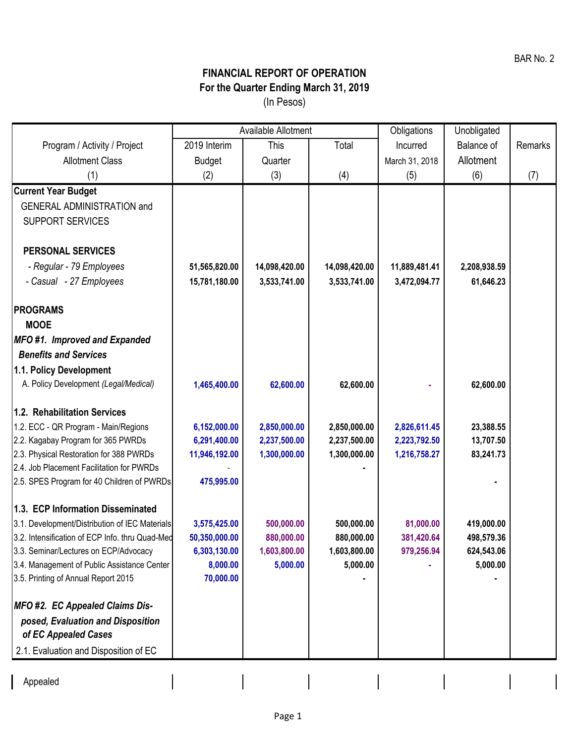## **FINANCIAL REPORT OF OPERATION For the Quarter Ending March 31, 2019** (In Pesos)

|                                                 | Available Allotment |               |               | Obligations    | Unobligated  |         |
|-------------------------------------------------|---------------------|---------------|---------------|----------------|--------------|---------|
| Program / Activity / Project                    | 2019 Interim        | This          | Total         | Incurred       | Balance of   | Remarks |
| <b>Allotment Class</b>                          | <b>Budget</b>       | Quarter       |               | March 31, 2018 | Allotment    |         |
| (1)                                             | (2)                 | (3)           | (4)           | (5)            | (6)          | (7)     |
| <b>Current Year Budget</b>                      |                     |               |               |                |              |         |
| <b>GENERAL ADMINISTRATION and</b>               |                     |               |               |                |              |         |
| <b>SUPPORT SERVICES</b>                         |                     |               |               |                |              |         |
|                                                 |                     |               |               |                |              |         |
| <b>PERSONAL SERVICES</b>                        |                     |               |               |                |              |         |
| - Regular - 79 Employees                        | 51,565,820.00       | 14,098,420.00 | 14,098,420.00 | 11,889,481.41  | 2,208,938.59 |         |
| - Casual - 27 Employees                         | 15,781,180.00       | 3,533,741.00  | 3,533,741.00  | 3,472,094.77   | 61,646.23    |         |
|                                                 |                     |               |               |                |              |         |
| <b>PROGRAMS</b>                                 |                     |               |               |                |              |         |
| <b>MOOE</b>                                     |                     |               |               |                |              |         |
| <b>MFO#1. Improved and Expanded</b>             |                     |               |               |                |              |         |
| <b>Benefits and Services</b>                    |                     |               |               |                |              |         |
| 1.1. Policy Development                         |                     |               |               |                |              |         |
| A. Policy Development (Legal/Medical)           | 1,465,400.00        | 62,600.00     | 62,600.00     |                | 62,600.00    |         |
| 1.2. Rehabilitation Services                    |                     |               |               |                |              |         |
| 1.2. ECC - QR Program - Main/Regions            | 6,152,000.00        | 2,850,000.00  | 2,850,000.00  | 2,826,611.45   | 23,388.55    |         |
| 2.2. Kagabay Program for 365 PWRDs              | 6,291,400.00        | 2,237,500.00  | 2,237,500.00  | 2,223,792.50   | 13,707.50    |         |
| 2.3. Physical Restoration for 388 PWRDs         | 11,946,192.00       | 1,300,000.00  | 1,300,000.00  | 1,216,758.27   | 83,241.73    |         |
| 2.4. Job Placement Facilitation for PWRDs       |                     |               |               |                |              |         |
| 2.5. SPES Program for 40 Children of PWRDs      | 475,995.00          |               |               |                |              |         |
| 1.3. ECP Information Disseminated               |                     |               |               |                |              |         |
| 3.1. Development/Distribution of IEC Materials  | 3,575,425.00        | 500,000.00    | 500,000.00    | 81,000.00      | 419,000.00   |         |
| 3.2. Intensification of ECP Info. thru Quad-Med | 50,350,000.00       | 880,000.00    | 880,000.00    | 381,420.64     | 498,579.36   |         |
| 3.3. Seminar/Lectures on ECP/Advocacy           | 6,303,130.00        | 1,603,800.00  | 1,603,800.00  | 979,256.94     | 624,543.06   |         |
| 3.4. Management of Public Assistance Center     | 8,000.00            | 5,000.00      | 5,000.00      |                | 5,000.00     |         |
| 3.5. Printing of Annual Report 2015             | 70,000.00           |               |               |                |              |         |
| <b>MFO #2. EC Appealed Claims Dis-</b>          |                     |               |               |                |              |         |
| posed, Evaluation and Disposition               |                     |               |               |                |              |         |
| of EC Appealed Cases                            |                     |               |               |                |              |         |
| 2.1. Evaluation and Disposition of EC           |                     |               |               |                |              |         |
|                                                 |                     |               |               |                |              |         |

Appealed

 $\begin{array}{c} \rule{0pt}{2ex} \rule{0pt}{2ex} \rule{0pt}{2ex} \rule{0pt}{2ex} \rule{0pt}{2ex} \rule{0pt}{2ex} \rule{0pt}{2ex} \rule{0pt}{2ex} \rule{0pt}{2ex} \rule{0pt}{2ex} \rule{0pt}{2ex} \rule{0pt}{2ex} \rule{0pt}{2ex} \rule{0pt}{2ex} \rule{0pt}{2ex} \rule{0pt}{2ex} \rule{0pt}{2ex} \rule{0pt}{2ex} \rule{0pt}{2ex} \rule{0pt}{2ex} \rule{0pt}{2ex} \rule{0pt}{2ex} \rule{0pt}{2ex} \rule{0pt}{$ 

 $\begin{array}{c} \hline \end{array}$ 

 $\overline{\mathbf{I}}$ 

 $\sim 10^{-10}$ 

 $\begin{array}{c} \hline \end{array}$ 

 $\begin{array}{c} \hline \end{array}$ 

 $\overline{\phantom{a}}$